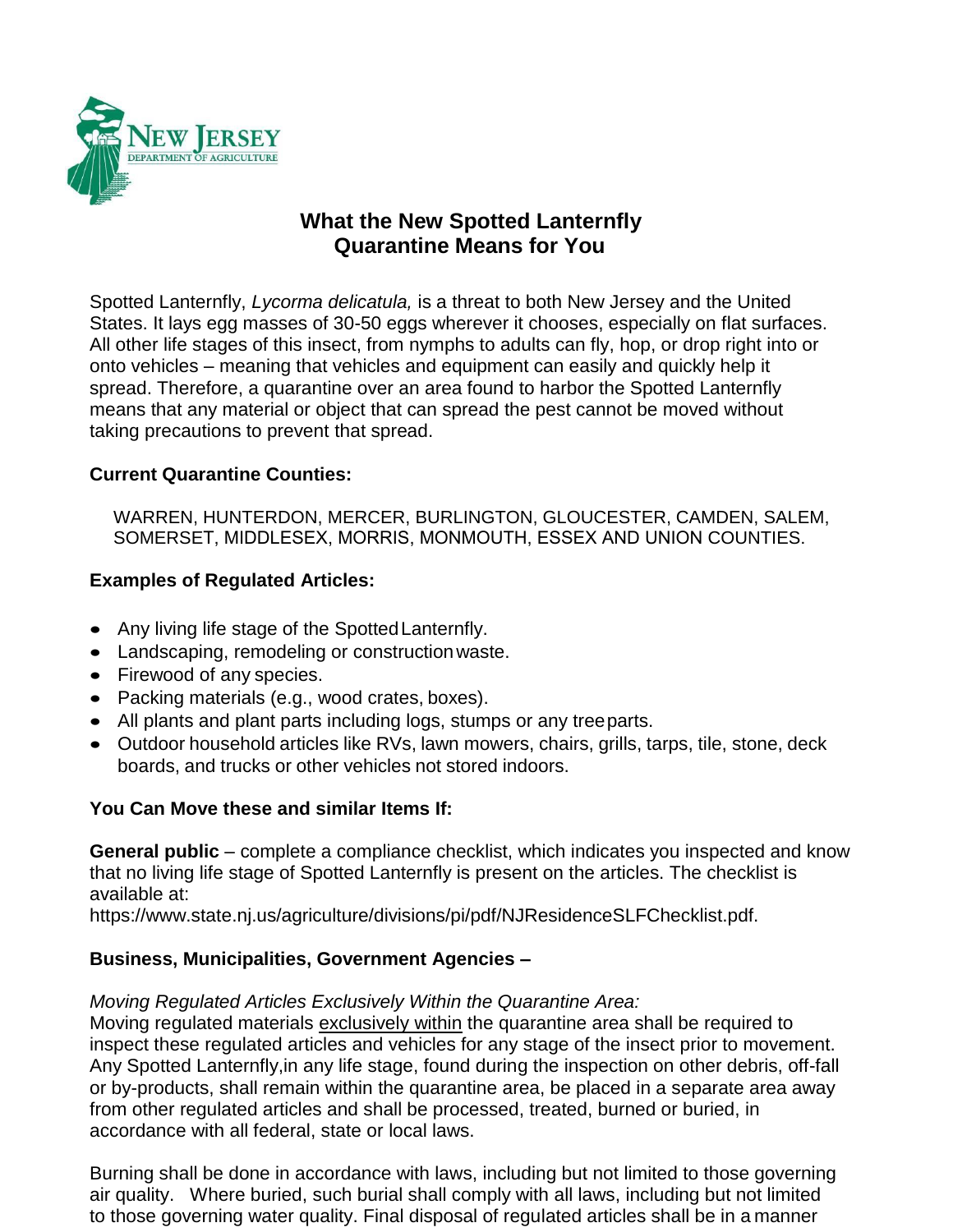

# **What the New Spotted Lanternfly Quarantine Means for You**

Spotted Lanternfly, *Lycorma delicatula,* is a threat to both New Jersey and the United States. It lays egg masses of 30-50 eggs wherever it chooses, especially on flat surfaces. All other life stages of this insect, from nymphs to adults can fly, hop, or drop right into or onto vehicles – meaning that vehicles and equipment can easily and quickly help it spread. Therefore, a quarantine over an area found to harbor the Spotted Lanternfly means that any material or object that can spread the pest cannot be moved without taking precautions to prevent that spread.

### **Current Quarantine Counties:**

WARREN, HUNTERDON, MERCER, BURLINGTON, GLOUCESTER, CAMDEN, SALEM, SOMERSET, MIDDLESEX, MORRIS, MONMOUTH, ESSEX AND UNION COUNTIES.

# **Examples of Regulated Articles:**

- Any living life stage of the SpottedLanternfly.
- Landscaping, remodeling or construction waste.
- Firewood of any species.
- Packing materials (e.g., wood crates, boxes).
- All plants and plant parts including logs, stumps or any treeparts.
- Outdoor household articles like RVs, lawn mowers, chairs, grills, tarps, tile, stone, deck boards, and trucks or other vehicles not stored indoors.

#### **You Can Move these and similar Items If:**

**General public** – complete a compliance checklist, which indicates you inspected and know that no living life stage of Spotted Lanternfly is present on the articles. The checklist is available at:

https:/[/www.state.nj.us/agriculture/divisions/pi/pdf/NJResidenceSLFChecklist.pdf.](http://www.state.nj.us/agriculture/divisions/pi/pdf/NJResidenceSLFChecklist.pdf)

#### **Business, Municipalities, Government Agencies –**

#### *Moving Regulated Articles Exclusively Within the Quarantine Area:*

Moving regulated materials exclusively within the quarantine area shall be required to inspect these regulated articles and vehicles for any stage of the insect prior to movement. Any Spotted Lanternfly,in any life stage, found during the inspection on other debris, off-fall or by-products, shall remain within the quarantine area, be placed in a separate area away from other regulated articles and shall be processed, treated, burned or buried, in accordance with all federal, state or local laws.

Burning shall be done in accordance with laws, including but not limited to those governing air quality. Where buried, such burial shall comply with all laws, including but not limited to those governing water quality. Final disposal of regulated articles shall be in a manner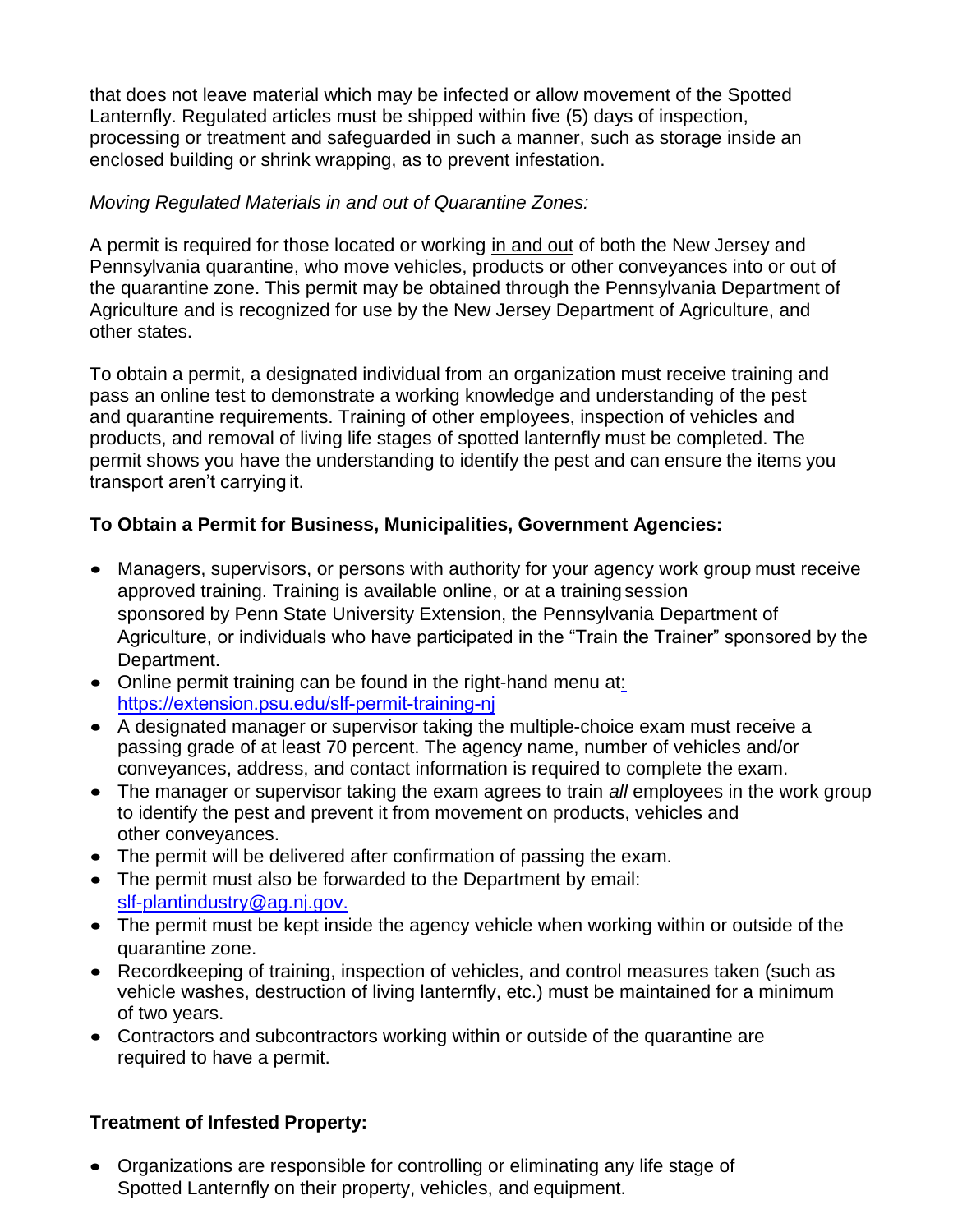that does not leave material which may be infected or allow movement of the Spotted Lanternfly. Regulated articles must be shipped within five (5) days of inspection, processing or treatment and safeguarded in such a manner, such as storage inside an enclosed building or shrink wrapping, as to prevent infestation.

### *Moving Regulated Materials in and out of Quarantine Zones:*

A permit is required for those located or working in and out of both the New Jersey and Pennsylvania quarantine, who move vehicles, products or other conveyances into or out of the quarantine zone. This permit may be obtained through the Pennsylvania Department of Agriculture and is recognized for use by the New Jersey Department of Agriculture, and other states.

To obtain a permit, a designated individual from an organization must receive training and pass an online test to demonstrate a working knowledge and understanding of the pest and quarantine requirements. Training of other employees, inspection of vehicles and products, and removal of living life stages of spotted lanternfly must be completed. The permit shows you have the understanding to identify the pest and can ensure the items you transport aren't carrying it.

# **To Obtain a Permit for Business, Municipalities, Government Agencies:**

- Managers, supervisors, or persons with authority for your agency work group must receive approved training. Training is available online, or at a training session sponsored by Penn State University Extension, the Pennsylvania Department of Agriculture, or individuals who have participated in the "Train the Trainer" sponsored by the Department.
- Online permit training can be found in the right-hand menu at: [https://extension.psu.edu/slf-permit-training-nj](http://www.agriculture.pa.gov/Plants_Land_Water/PlantIndustry/Entomology/spotted_lanternfly/quarantine/Pages/default.aspx)
- [A designated manager or supervisor](http://www.agriculture.pa.gov/Plants_Land_Water/PlantIndustry/Entomology/spotted_lanternfly/quarantine/Pages/default.aspx) taking the multiple-choice exam must receive a passing grade of at least 70 percent. The agency name, number of vehicles and/or conveyances, address, and contact information is required to complete the exam.
- The manager or supervisor taking the exam agrees to train *all* employees in the work group to identify the pest and prevent it from movement on products, vehicles and other conveyances.
- The permit will be delivered after confirmation of passing the exam.
- The permit must also be forwarded to the Department by email: [slf-p](mailto:slf-plantindustry@ag.nj.gov)lantindustry@ag.nj.gov.
- [The permit must be kept](mailto:slf-plantindustry@ag.nj.gov) inside the agency vehicle when working within or outside of the quarantine zone.
- Recordkeeping of training, inspection of vehicles, and control measures taken (such as vehicle washes, destruction of living lanternfly, etc.) must be maintained for a minimum of two years.
- Contractors and subcontractors working within or outside of the quarantine are required to have a permit.

# **Treatment of Infested Property:**

• Organizations are responsible for controlling or eliminating any life stage of Spotted Lanternfly on their property, vehicles, and equipment.